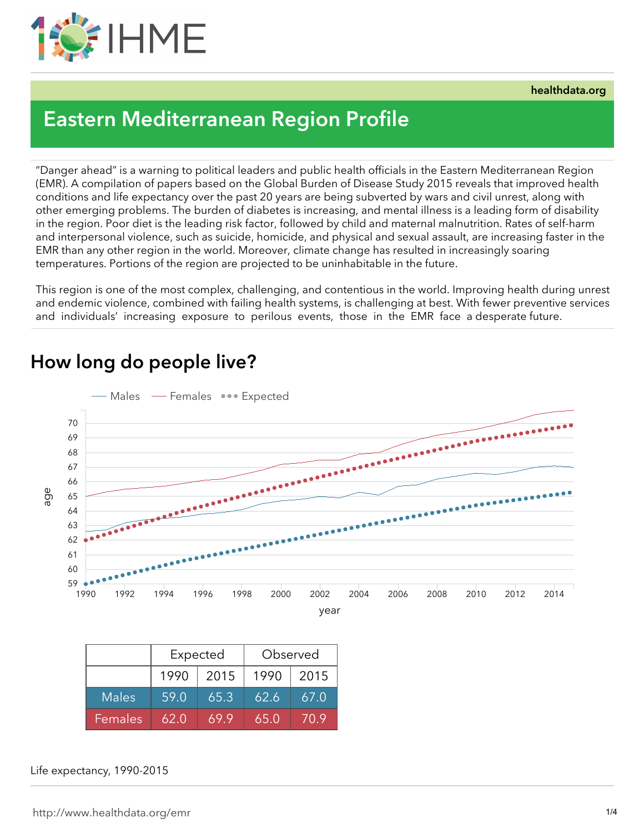

healthdata.org

# Eastern Mediterranean Region Profile

"Danger ahead" is a warning to political leaders and public health officials in the Eastern Mediterranean Region (EMR). A compilation of papers based on the Global Burden of Disease Study 2015 reveals that improved health conditions and life expectancy over the past 20 years are being subverted by wars and civil unrest, along with other emerging problems. The burden of diabetes is increasing, and mental illness is a leading form of disability in the region. Poor diet is the leading risk factor, followed by child and maternal malnutrition. Rates of self-harm and interpersonal violence, such as suicide, homicide, and physical and sexual assault, are increasing faster in the EMR than any other region in the world. Moreover, climate change has resulted in increasingly soaring temperatures. Portions of the region are projected to be uninhabitable in the future.

This region is one of the most complex, challenging, and contentious in the world. Improving health during unrest and endemic violence, combined with failing health systems, is challenging at best. With fewer preventive services and individuals' increasing exposure to perilous events, those in the EMR face a desperate future.



## How long do people live?

|              | Expected |      | Observed |      |
|--------------|----------|------|----------|------|
|              | 1990     | 2015 | 1990     | 2015 |
| <b>Males</b> | 59.0     | 65.3 | .62.6    | 67.0 |
| Females      | 62.0     | 69.9 | 65.0     | 70.9 |

Life expectancy, 1990-2015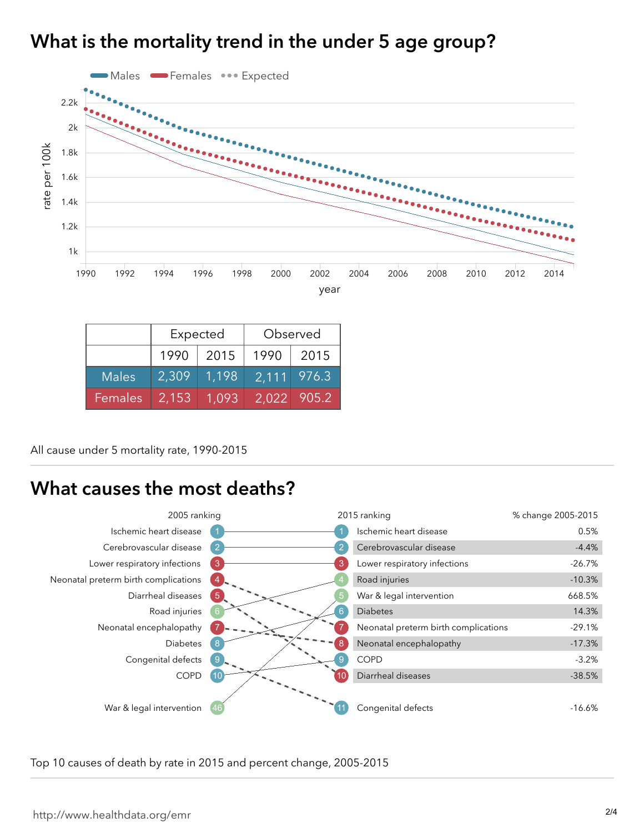### What is the mortality trend in the under 5 age group?



|         | Expected |           | Observed |             |
|---------|----------|-----------|----------|-------------|
|         |          | 1990 2015 | 1990     | 2015        |
| Males   | 2,309    | 1.198     |          | 2,111 976.3 |
| Females | 2,153    | 1.093     |          | 2.022 905.2 |

#### All cause under 5 mortality rate, 1990-2015

#### What causes the most deaths?



Top 10 causes of death by rate in 2015 and percent change, 2005-2015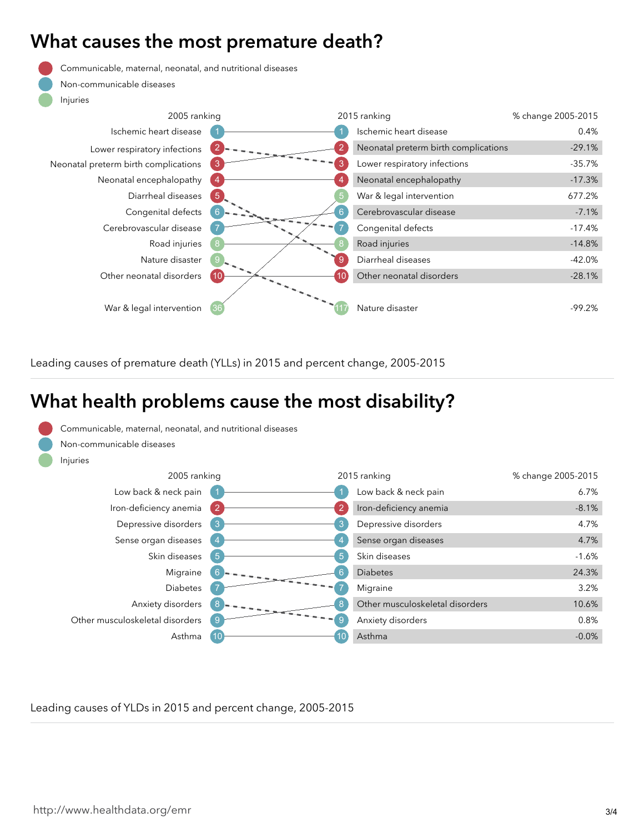### What causes the most premature death?

Communicable, maternal, neonatal, and nutritional diseases

Non-communicable diseases

Injuries

| 2005 ranking                         |      | 2015 ranking                         | % change 2005-2015 |
|--------------------------------------|------|--------------------------------------|--------------------|
| Ischemic heart disease               |      | Ischemic heart disease               | 0.4%               |
| Lower respiratory infections         |      | Neonatal preterm birth complications | $-29.1%$           |
| Neonatal preterm birth complications |      | Lower respiratory infections         | $-35.7%$           |
| Neonatal encephalopathy              |      | Neonatal encephalopathy              | $-17.3%$           |
| Diarrheal diseases                   | 5    | War & legal intervention             | 677.2%             |
| Congenital defects                   |      | Cerebrovascular disease              | $-7.1%$            |
| Cerebrovascular disease              |      | Congenital defects                   | $-17.4%$           |
| Road injuries                        |      | Road injuries                        | $-14.8%$           |
| Nature disaster                      | 9    | Diarrheal diseases                   | $-42.0%$           |
| Other neonatal disorders             | (10) | Other neonatal disorders             | $-28.1%$           |
| War & legal intervention             |      | Nature disaster                      | $-99.2\%$          |

Leading causes of premature death (YLLs) in 2015 and percent change, 2005-2015

# What health problems cause the most disability?

| Non-communicable diseases       |    |                                                                            |                                 |                    |
|---------------------------------|----|----------------------------------------------------------------------------|---------------------------------|--------------------|
| Injuries                        |    |                                                                            |                                 |                    |
|                                 |    |                                                                            |                                 | % change 2005-2015 |
| Low back & neck pain            |    |                                                                            | Low back & neck pain            | 6.7%               |
| Iron-deficiency anemia          |    |                                                                            | Iron-deficiency anemia          | $-8.1%$            |
| Depressive disorders            | 3  |                                                                            | Depressive disorders            | 4.7%               |
| Sense organ diseases            | -4 |                                                                            | Sense organ diseases            | 4.7%               |
| Skin diseases                   | 5  | 5                                                                          | Skin diseases                   | $-1.6%$            |
| Migraine                        |    |                                                                            | <b>Diabetes</b>                 | 24.3%              |
| <b>Diabetes</b>                 |    |                                                                            | Migraine                        | 3.2%               |
| Anxiety disorders               |    |                                                                            | Other musculoskeletal disorders | 10.6%              |
| Other musculoskeletal disorders |    |                                                                            | Anxiety disorders               | 0.8%               |
| Asthma                          |    |                                                                            | Asthma                          | $-0.0%$            |
|                                 |    | Communicable, maternal, neonatal, and nutritional diseases<br>2005 ranking |                                 | 2015 ranking       |

Leading causes of YLDs in 2015 and percent change, 2005-2015